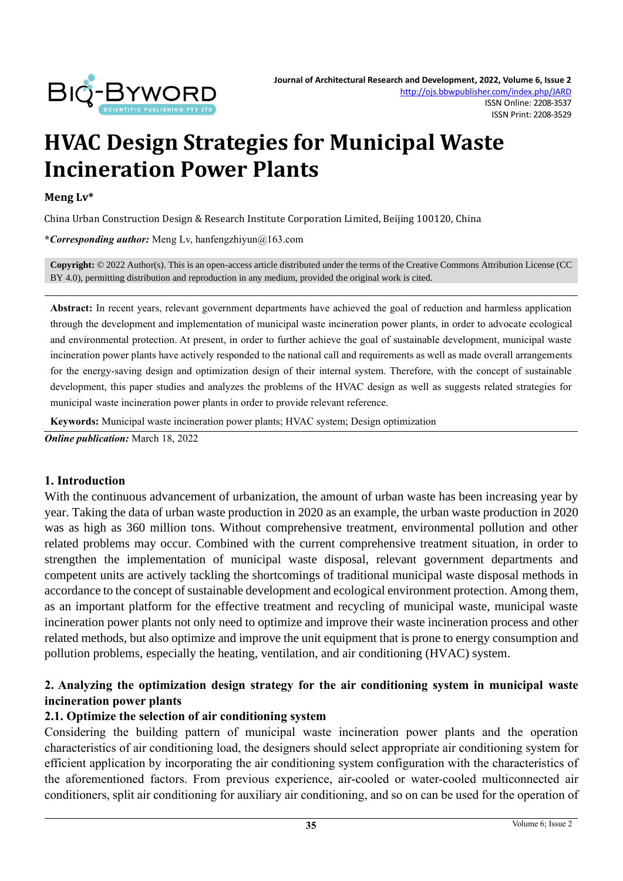

# **HVAC Design Strategies for Municipal Waste Incineration Power Plants**

#### **Meng Lv\***

China Urban Construction Design & Research Institute Corporation Limited, Beijing 100120, China

**\****Corresponding author:* Meng Lv, hanfengzhiyun@163.com

**Copyright:** © 2022 Author(s). This is an open-access article distributed under the terms of th[e Creative Commons Attribution License \(CC](https://creativecommons.org/licenses/by/4.0/)  [BY 4.0\),](https://creativecommons.org/licenses/by/4.0/) permitting distribution and reproduction in any medium, provided the original work is cited.

**Abstract:** In recent years, relevant government departments have achieved the goal of reduction and harmless application through the development and implementation of municipal waste incineration power plants, in order to advocate ecological and environmental protection. At present, in order to further achieve the goal of sustainable development, municipal waste incineration power plants have actively responded to the national call and requirements as well as made overall arrangements for the energy-saving design and optimization design of their internal system. Therefore, with the concept of sustainable development, this paper studies and analyzes the problems of the HVAC design as well as suggests related strategies for municipal waste incineration power plants in order to provide relevant reference.

**Keywords:** Municipal waste incineration power plants; HVAC system; Design optimization

*Online publication:* March 18, 2022

#### **1. Introduction**

With the continuous advancement of urbanization, the amount of urban waste has been increasing year by year. Taking the data of urban waste production in 2020 as an example, the urban waste production in 2020 was as high as 360 million tons. Without comprehensive treatment, environmental pollution and other related problems may occur. Combined with the current comprehensive treatment situation, in order to strengthen the implementation of municipal waste disposal, relevant government departments and competent units are actively tackling the shortcomings of traditional municipal waste disposal methods in accordance to the concept of sustainable development and ecological environment protection. Among them, as an important platform for the effective treatment and recycling of municipal waste, municipal waste incineration power plants not only need to optimize and improve their waste incineration process and other related methods, but also optimize and improve the unit equipment that is prone to energy consumption and pollution problems, especially the heating, ventilation, and air conditioning (HVAC) system.

## **2. Analyzing the optimization design strategy for the air conditioning system in municipal waste incineration power plants**

#### **2.1. Optimize the selection of air conditioning system**

Considering the building pattern of municipal waste incineration power plants and the operation characteristics of air conditioning load, the designers should select appropriate air conditioning system for efficient application by incorporating the air conditioning system configuration with the characteristics of the aforementioned factors. From previous experience, air-cooled or water-cooled multiconnected air conditioners, split air conditioning for auxiliary air conditioning, and so on can be used for the operation of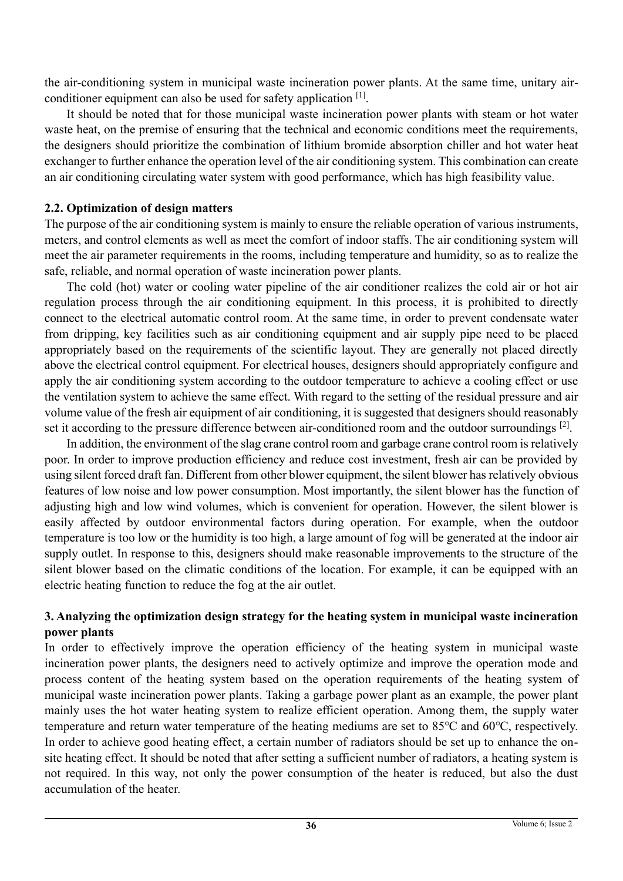the air-conditioning system in municipal waste incineration power plants. At the same time, unitary airconditioner equipment can also be used for safety application [1].

It should be noted that for those municipal waste incineration power plants with steam or hot water waste heat, on the premise of ensuring that the technical and economic conditions meet the requirements, the designers should prioritize the combination of lithium bromide absorption chiller and hot water heat exchanger to further enhance the operation level of the air conditioning system. This combination can create an air conditioning circulating water system with good performance, which has high feasibility value.

#### **2.2. Optimization of design matters**

The purpose of the air conditioning system is mainly to ensure the reliable operation of various instruments, meters, and control elements as well as meet the comfort of indoor staffs. The air conditioning system will meet the air parameter requirements in the rooms, including temperature and humidity, so as to realize the safe, reliable, and normal operation of waste incineration power plants.

The cold (hot) water or cooling water pipeline of the air conditioner realizes the cold air or hot air regulation process through the air conditioning equipment. In this process, it is prohibited to directly connect to the electrical automatic control room. At the same time, in order to prevent condensate water from dripping, key facilities such as air conditioning equipment and air supply pipe need to be placed appropriately based on the requirements of the scientific layout. They are generally not placed directly above the electrical control equipment. For electrical houses, designers should appropriately configure and apply the air conditioning system according to the outdoor temperature to achieve a cooling effect or use the ventilation system to achieve the same effect. With regard to the setting of the residual pressure and air volume value of the fresh air equipment of air conditioning, it is suggested that designers should reasonably set it according to the pressure difference between air-conditioned room and the outdoor surroundings <sup>[2]</sup>.

In addition, the environment of the slag crane control room and garbage crane control room is relatively poor. In order to improve production efficiency and reduce cost investment, fresh air can be provided by using silent forced draft fan. Different from other blower equipment, the silent blower has relatively obvious features of low noise and low power consumption. Most importantly, the silent blower has the function of adjusting high and low wind volumes, which is convenient for operation. However, the silent blower is easily affected by outdoor environmental factors during operation. For example, when the outdoor temperature is too low or the humidity is too high, a large amount of fog will be generated at the indoor air supply outlet. In response to this, designers should make reasonable improvements to the structure of the silent blower based on the climatic conditions of the location. For example, it can be equipped with an electric heating function to reduce the fog at the air outlet.

## **3. Analyzing the optimization design strategy for the heating system in municipal waste incineration power plants**

In order to effectively improve the operation efficiency of the heating system in municipal waste incineration power plants, the designers need to actively optimize and improve the operation mode and process content of the heating system based on the operation requirements of the heating system of municipal waste incineration power plants. Taking a garbage power plant as an example, the power plant mainly uses the hot water heating system to realize efficient operation. Among them, the supply water temperature and return water temperature of the heating mediums are set to 85℃ and 60℃, respectively. In order to achieve good heating effect, a certain number of radiators should be set up to enhance the onsite heating effect. It should be noted that after setting a sufficient number of radiators, a heating system is not required. In this way, not only the power consumption of the heater is reduced, but also the dust accumulation of the heater.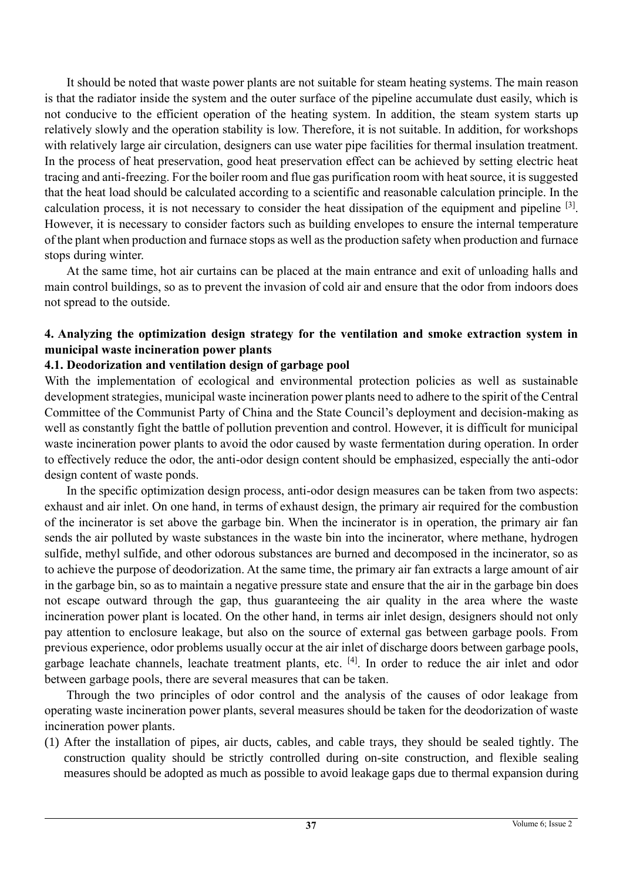It should be noted that waste power plants are not suitable for steam heating systems. The main reason is that the radiator inside the system and the outer surface of the pipeline accumulate dust easily, which is not conducive to the efficient operation of the heating system. In addition, the steam system starts up relatively slowly and the operation stability is low. Therefore, it is not suitable. In addition, for workshops with relatively large air circulation, designers can use water pipe facilities for thermal insulation treatment. In the process of heat preservation, good heat preservation effect can be achieved by setting electric heat tracing and anti-freezing. For the boiler room and flue gas purification room with heat source, it is suggested that the heat load should be calculated according to a scientific and reasonable calculation principle. In the calculation process, it is not necessary to consider the heat dissipation of the equipment and pipeline  $[3]$ . However, it is necessary to consider factors such as building envelopes to ensure the internal temperature of the plant when production and furnace stops as well as the production safety when production and furnace stops during winter.

At the same time, hot air curtains can be placed at the main entrance and exit of unloading halls and main control buildings, so as to prevent the invasion of cold air and ensure that the odor from indoors does not spread to the outside.

# **4. Analyzing the optimization design strategy for the ventilation and smoke extraction system in municipal waste incineration power plants**

# **4.1. Deodorization and ventilation design of garbage pool**

With the implementation of ecological and environmental protection policies as well as sustainable development strategies, municipal waste incineration power plants need to adhere to the spirit of the Central Committee of the Communist Party of China and the State Council's deployment and decision-making as well as constantly fight the battle of pollution prevention and control. However, it is difficult for municipal waste incineration power plants to avoid the odor caused by waste fermentation during operation. In order to effectively reduce the odor, the anti-odor design content should be emphasized, especially the anti-odor design content of waste ponds.

In the specific optimization design process, anti-odor design measures can be taken from two aspects: exhaust and air inlet. On one hand, in terms of exhaust design, the primary air required for the combustion of the incinerator is set above the garbage bin. When the incinerator is in operation, the primary air fan sends the air polluted by waste substances in the waste bin into the incinerator, where methane, hydrogen sulfide, methyl sulfide, and other odorous substances are burned and decomposed in the incinerator, so as to achieve the purpose of deodorization. At the same time, the primary air fan extracts a large amount of air in the garbage bin, so as to maintain a negative pressure state and ensure that the air in the garbage bin does not escape outward through the gap, thus guaranteeing the air quality in the area where the waste incineration power plant is located. On the other hand, in terms air inlet design, designers should not only pay attention to enclosure leakage, but also on the source of external gas between garbage pools. From previous experience, odor problems usually occur at the air inlet of discharge doors between garbage pools, garbage leachate channels, leachate treatment plants, etc. [4]. In order to reduce the air inlet and odor between garbage pools, there are several measures that can be taken.

Through the two principles of odor control and the analysis of the causes of odor leakage from operating waste incineration power plants, several measures should be taken for the deodorization of waste incineration power plants.

(1) After the installation of pipes, air ducts, cables, and cable trays, they should be sealed tightly. The construction quality should be strictly controlled during on-site construction, and flexible sealing measures should be adopted as much as possible to avoid leakage gaps due to thermal expansion during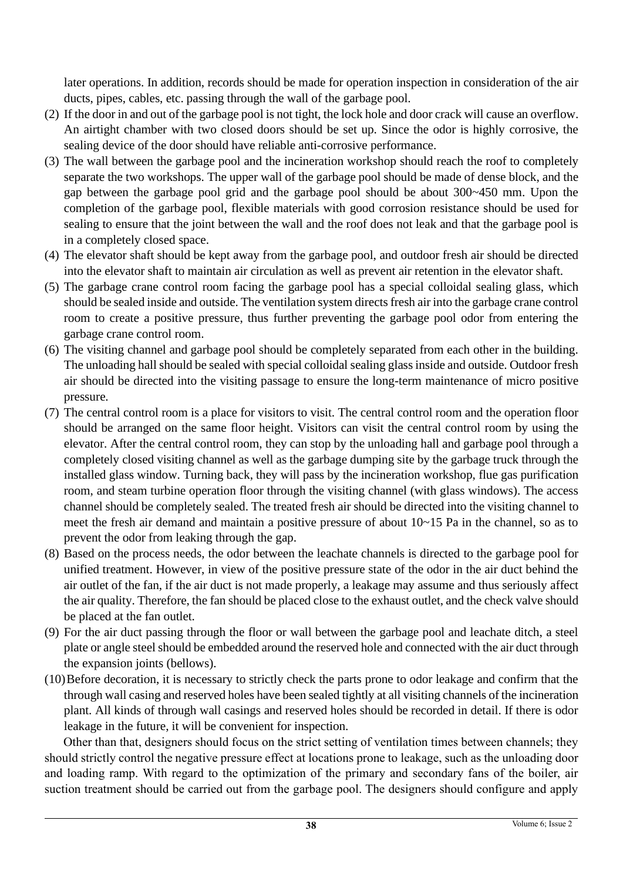later operations. In addition, records should be made for operation inspection in consideration of the air ducts, pipes, cables, etc. passing through the wall of the garbage pool.

- (2) If the door in and out of the garbage pool is not tight, the lock hole and door crack will cause an overflow. An airtight chamber with two closed doors should be set up. Since the odor is highly corrosive, the sealing device of the door should have reliable anti-corrosive performance.
- (3) The wall between the garbage pool and the incineration workshop should reach the roof to completely separate the two workshops. The upper wall of the garbage pool should be made of dense block, and the gap between the garbage pool grid and the garbage pool should be about 300~450 mm. Upon the completion of the garbage pool, flexible materials with good corrosion resistance should be used for sealing to ensure that the joint between the wall and the roof does not leak and that the garbage pool is in a completely closed space.
- (4) The elevator shaft should be kept away from the garbage pool, and outdoor fresh air should be directed into the elevator shaft to maintain air circulation as well as prevent air retention in the elevator shaft.
- (5) The garbage crane control room facing the garbage pool has a special colloidal sealing glass, which should be sealed inside and outside. The ventilation system directs fresh air into the garbage crane control room to create a positive pressure, thus further preventing the garbage pool odor from entering the garbage crane control room.
- (6) The visiting channel and garbage pool should be completely separated from each other in the building. The unloading hall should be sealed with special colloidal sealing glass inside and outside. Outdoor fresh air should be directed into the visiting passage to ensure the long-term maintenance of micro positive pressure.
- (7) The central control room is a place for visitors to visit. The central control room and the operation floor should be arranged on the same floor height. Visitors can visit the central control room by using the elevator. After the central control room, they can stop by the unloading hall and garbage pool through a completely closed visiting channel as well as the garbage dumping site by the garbage truck through the installed glass window. Turning back, they will pass by the incineration workshop, flue gas purification room, and steam turbine operation floor through the visiting channel (with glass windows). The access channel should be completely sealed. The treated fresh air should be directed into the visiting channel to meet the fresh air demand and maintain a positive pressure of about 10~15 Pa in the channel, so as to prevent the odor from leaking through the gap.
- (8) Based on the process needs, the odor between the leachate channels is directed to the garbage pool for unified treatment. However, in view of the positive pressure state of the odor in the air duct behind the air outlet of the fan, if the air duct is not made properly, a leakage may assume and thus seriously affect the air quality. Therefore, the fan should be placed close to the exhaust outlet, and the check valve should be placed at the fan outlet.
- (9) For the air duct passing through the floor or wall between the garbage pool and leachate ditch, a steel plate or angle steel should be embedded around the reserved hole and connected with the air duct through the expansion joints (bellows).
- (10)Before decoration, it is necessary to strictly check the parts prone to odor leakage and confirm that the through wall casing and reserved holes have been sealed tightly at all visiting channels of the incineration plant. All kinds of through wall casings and reserved holes should be recorded in detail. If there is odor leakage in the future, it will be convenient for inspection.

Other than that, designers should focus on the strict setting of ventilation times between channels; they should strictly control the negative pressure effect at locations prone to leakage, such as the unloading door and loading ramp. With regard to the optimization of the primary and secondary fans of the boiler, air suction treatment should be carried out from the garbage pool. The designers should configure and apply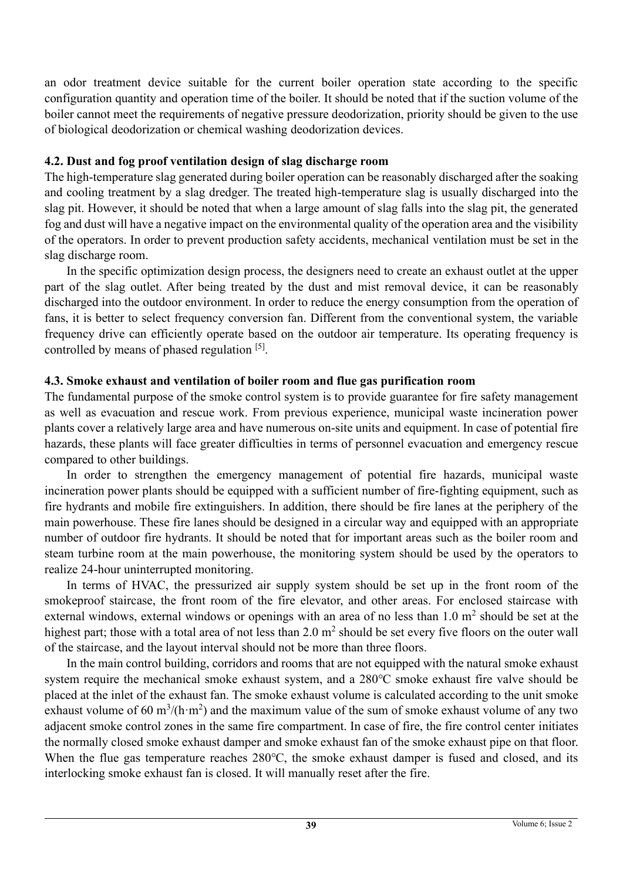an odor treatment device suitable for the current boiler operation state according to the specific configuration quantity and operation time of the boiler. It should be noted that if the suction volume of the boiler cannot meet the requirements of negative pressure deodorization, priority should be given to the use of biological deodorization or chemical washing deodorization devices.

# **4.2. Dust and fog proof ventilation design of slag discharge room**

The high-temperature slag generated during boiler operation can be reasonably discharged after the soaking and cooling treatment by a slag dredger. The treated high-temperature slag is usually discharged into the slag pit. However, it should be noted that when a large amount of slag falls into the slag pit, the generated fog and dust will have a negative impact on the environmental quality of the operation area and the visibility of the operators. In order to prevent production safety accidents, mechanical ventilation must be set in the slag discharge room.

In the specific optimization design process, the designers need to create an exhaust outlet at the upper part of the slag outlet. After being treated by the dust and mist removal device, it can be reasonably discharged into the outdoor environment. In order to reduce the energy consumption from the operation of fans, it is better to select frequency conversion fan. Different from the conventional system, the variable frequency drive can efficiently operate based on the outdoor air temperature. Its operating frequency is controlled by means of phased regulation [5].

# **4.3. Smoke exhaust and ventilation of boiler room and flue gas purification room**

The fundamental purpose of the smoke control system is to provide guarantee for fire safety management as well as evacuation and rescue work. From previous experience, municipal waste incineration power plants cover a relatively large area and have numerous on-site units and equipment. In case of potential fire hazards, these plants will face greater difficulties in terms of personnel evacuation and emergency rescue compared to other buildings.

In order to strengthen the emergency management of potential fire hazards, municipal waste incineration power plants should be equipped with a sufficient number of fire-fighting equipment, such as fire hydrants and mobile fire extinguishers. In addition, there should be fire lanes at the periphery of the main powerhouse. These fire lanes should be designed in a circular way and equipped with an appropriate number of outdoor fire hydrants. It should be noted that for important areas such as the boiler room and steam turbine room at the main powerhouse, the monitoring system should be used by the operators to realize 24-hour uninterrupted monitoring.

In terms of HVAC, the pressurized air supply system should be set up in the front room of the smokeproof staircase, the front room of the fire elevator, and other areas. For enclosed staircase with external windows, external windows or openings with an area of no less than  $1.0 \text{ m}^2$  should be set at the highest part; those with a total area of not less than  $2.0 \text{ m}^2$  should be set every five floors on the outer wall of the staircase, and the layout interval should not be more than three floors.

In the main control building, corridors and rooms that are not equipped with the natural smoke exhaust system require the mechanical smoke exhaust system, and a 280℃ smoke exhaust fire valve should be placed at the inlet of the exhaust fan. The smoke exhaust volume is calculated according to the unit smoke exhaust volume of 60 m<sup>3</sup>/(h·m<sup>2</sup>) and the maximum value of the sum of smoke exhaust volume of any two adjacent smoke control zones in the same fire compartment. In case of fire, the fire control center initiates the normally closed smoke exhaust damper and smoke exhaust fan of the smoke exhaust pipe on that floor. When the flue gas temperature reaches 280℃, the smoke exhaust damper is fused and closed, and its interlocking smoke exhaust fan is closed. It will manually reset after the fire.